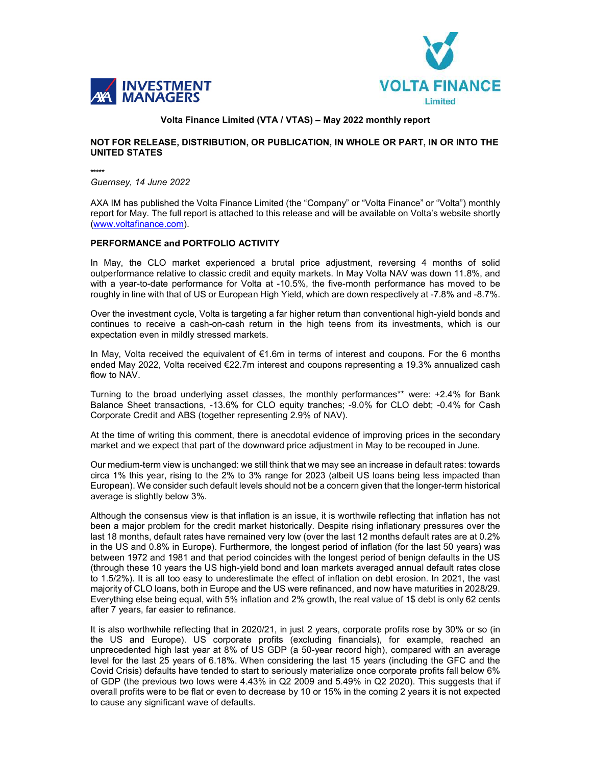



# Volta Finance Limited (VTA / VTAS) – May 2022 monthly report

# NOT FOR RELEASE, DISTRIBUTION, OR PUBLICATION, IN WHOLE OR PART, IN OR INTO THE UNITED STATES

\*\*\*\*\* Guernsey, 14 June 2022

AXA IM has published the Volta Finance Limited (the "Company" or "Volta Finance" or "Volta") monthly report for May. The full report is attached to this release and will be available on Volta's website shortly (www.voltafinance.com).

# PERFORMANCE and PORTFOLIO ACTIVITY

In May, the CLO market experienced a brutal price adjustment, reversing 4 months of solid outperformance relative to classic credit and equity markets. In May Volta NAV was down 11.8%, and with a year-to-date performance for Volta at -10.5%, the five-month performance has moved to be roughly in line with that of US or European High Yield, which are down respectively at -7.8% and -8.7%.

Over the investment cycle, Volta is targeting a far higher return than conventional high-yield bonds and continues to receive a cash-on-cash return in the high teens from its investments, which is our expectation even in mildly stressed markets.

In May, Volta received the equivalent of €1.6m in terms of interest and coupons. For the 6 months ended May 2022, Volta received €22.7m interest and coupons representing a 19.3% annualized cash flow to NAV.

Turning to the broad underlying asset classes, the monthly performances\*\* were: +2.4% for Bank Balance Sheet transactions, -13.6% for CLO equity tranches; -9.0% for CLO debt; -0.4% for Cash Corporate Credit and ABS (together representing 2.9% of NAV).

At the time of writing this comment, there is anecdotal evidence of improving prices in the secondary market and we expect that part of the downward price adjustment in May to be recouped in June.

Our medium-term view is unchanged: we still think that we may see an increase in default rates: towards circa 1% this year, rising to the 2% to 3% range for 2023 (albeit US loans being less impacted than European). We consider such default levels should not be a concern given that the longer-term historical average is slightly below 3%.

Although the consensus view is that inflation is an issue, it is worthwile reflecting that inflation has not been a major problem for the credit market historically. Despite rising inflationary pressures over the last 18 months, default rates have remained very low (over the last 12 months default rates are at 0.2% in the US and 0.8% in Europe). Furthermore, the longest period of inflation (for the last 50 years) was between 1972 and 1981 and that period coincides with the longest period of benign defaults in the US (through these 10 years the US high-yield bond and loan markets averaged annual default rates close to 1.5/2%). It is all too easy to underestimate the effect of inflation on debt erosion. In 2021, the vast majority of CLO loans, both in Europe and the US were refinanced, and now have maturities in 2028/29. Everything else being equal, with 5% inflation and 2% growth, the real value of 1\$ debt is only 62 cents after 7 years, far easier to refinance.

It is also worthwhile reflecting that in 2020/21, in just 2 years, corporate profits rose by 30% or so (in the US and Europe). US corporate profits (excluding financials), for example, reached an unprecedented high last year at 8% of US GDP (a 50-year record high), compared with an average level for the last 25 years of 6.18%. When considering the last 15 years (including the GFC and the Covid Crisis) defaults have tended to start to seriously materialize once corporate profits fall below 6% of GDP (the previous two lows were 4.43% in Q2 2009 and 5.49% in Q2 2020). This suggests that if overall profits were to be flat or even to decrease by 10 or 15% in the coming 2 years it is not expected to cause any significant wave of defaults.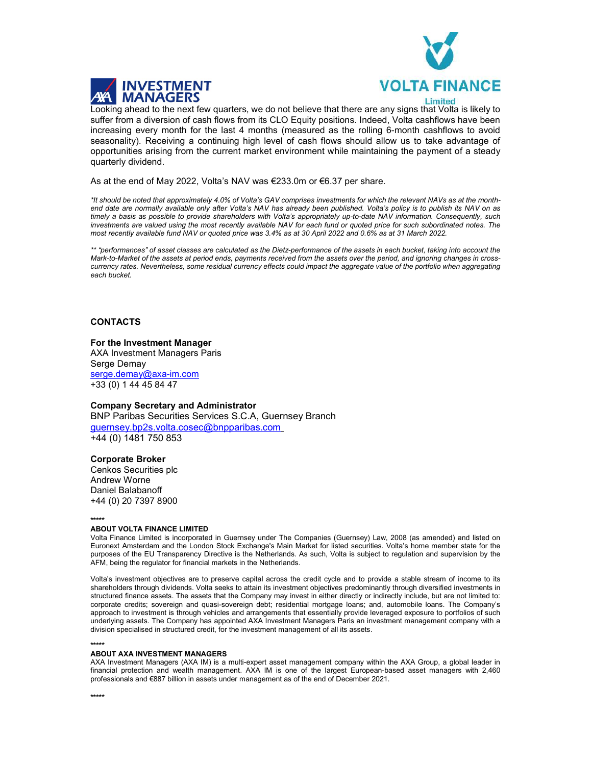



**Limited** 

Looking ahead to the next few quarters, we do not believe that there are any signs that Volta is likely to suffer from a diversion of cash flows from its CLO Equity positions. Indeed, Volta cashflows have been increasing every month for the last 4 months (measured as the rolling 6-month cashflows to avoid seasonality). Receiving a continuing high level of cash flows should allow us to take advantage of opportunities arising from the current market environment while maintaining the payment of a steady quarterly dividend.

As at the end of May 2022, Volta's NAV was €233.0m or €6.37 per share.

\*It should be noted that approximately 4.0% of Volta's GAV comprises investments for which the relevant NAVs as at the monthend date are normally available only after Volta's NAV has already been published. Volta's policy is to publish its NAV on as timely a basis as possible to provide shareholders with Volta's appropriately up-to-date NAV information. Consequently, such investments are valued using the most recently available NAV for each fund or quoted price for such subordinated notes. The most recently available fund NAV or quoted price was 3.4% as at 30 April 2022 and 0.6% as at 31 March 2022.

\*\* "performances" of asset classes are calculated as the Dietz-performance of the assets in each bucket, taking into account the Mark-to-Market of the assets at period ends, payments received from the assets over the period, and ignoring changes in crosscurrency rates. Nevertheless, some residual currency effects could impact the aggregate value of the portfolio when aggregating each bucket.

# **CONTACTS**

### For the Investment Manager

AXA Investment Managers Paris Serge Demay serge.demay@axa-im.com +33 (0) 1 44 45 84 47

Company Secretary and Administrator

BNP Paribas Securities Services S.C.A, Guernsey Branch guernsey.bp2s.volta.cosec@bnpparibas.com +44 (0) 1481 750 853

## Corporate Broker

Cenkos Securities plc Andrew Worne Daniel Balabanoff +44 (0) 20 7397 8900

#### \*\*\*\*\*

#### ABOUT VOLTA FINANCE LIMITED

Volta Finance Limited is incorporated in Guernsey under The Companies (Guernsey) Law, 2008 (as amended) and listed on Euronext Amsterdam and the London Stock Exchange's Main Market for listed securities. Volta's home member state for the purposes of the EU Transparency Directive is the Netherlands. As such, Volta is subject to regulation and supervision by the AFM, being the regulator for financial markets in the Netherlands.

Volta's investment objectives are to preserve capital across the credit cycle and to provide a stable stream of income to its shareholders through dividends. Volta seeks to attain its investment objectives predominantly through diversified investments in structured finance assets. The assets that the Company may invest in either directly or indirectly include, but are not limited to: corporate credits; sovereign and quasi-sovereign debt; residential mortgage loans; and, automobile loans. The Company's approach to investment is through vehicles and arrangements that essentially provide leveraged exposure to portfolios of such underlying assets. The Company has appointed AXA Investment Managers Paris an investment management company with a division specialised in structured credit, for the investment management of all its assets.

### \*\*\*\*\*

#### ABOUT AXA INVESTMENT MANAGERS

AXA Investment Managers (AXA IM) is a multi-expert asset management company within the AXA Group, a global leader in financial protection and wealth management. AXA IM is one of the largest European-based asset managers with 2,460 professionals and €887 billion in assets under management as of the end of December 2021.